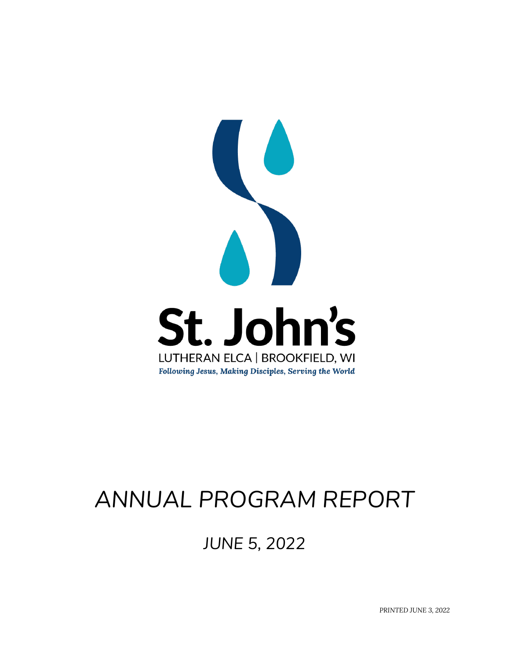

# *ANNUAL PROGRAM REPORT*

*JUNE 5, 2022*

*PRINTED JUNE 3, 2022*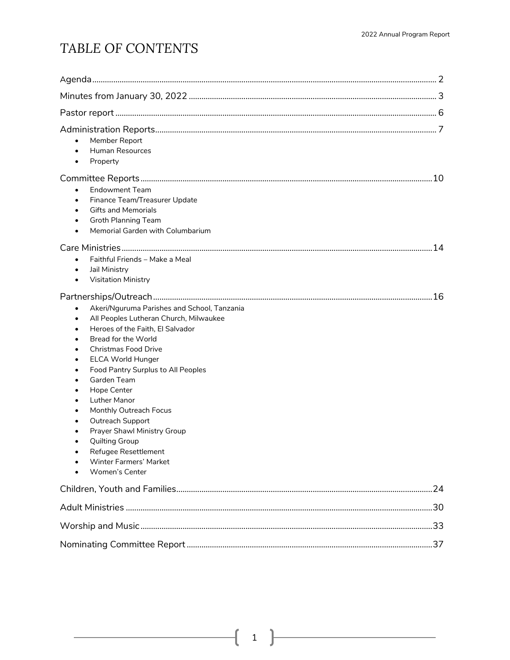## *TABLE OF CONTENTS*

| Member Report<br>$\bullet$<br><b>Human Resources</b><br>$\bullet$<br>Property<br>$\bullet$                                                                                                                                                                                                                                                                                                                                                                                                                                    |  |
|-------------------------------------------------------------------------------------------------------------------------------------------------------------------------------------------------------------------------------------------------------------------------------------------------------------------------------------------------------------------------------------------------------------------------------------------------------------------------------------------------------------------------------|--|
| <b>Endowment Team</b><br>$\bullet$<br>Finance Team/Treasurer Update<br>$\bullet$<br><b>Gifts and Memorials</b><br>$\bullet$<br><b>Groth Planning Team</b><br>$\bullet$<br>Memorial Garden with Columbarium<br>$\bullet$                                                                                                                                                                                                                                                                                                       |  |
| Faithful Friends - Make a Meal<br>$\bullet$<br>Jail Ministry<br>$\bullet$<br><b>Visitation Ministry</b><br>$\bullet$                                                                                                                                                                                                                                                                                                                                                                                                          |  |
| Akeri/Nguruma Parishes and School, Tanzania<br>$\bullet$<br>All Peoples Lutheran Church, Milwaukee<br>$\bullet$<br>Heroes of the Faith, El Salvador<br>٠<br>Bread for the World<br><b>Christmas Food Drive</b><br><b>ELCA World Hunger</b><br>Food Pantry Surplus to All Peoples<br>Garden Team<br>Hope Center<br><b>Luther Manor</b><br>Monthly Outreach Focus<br>Outreach Support<br>Prayer Shawl Ministry Group<br><b>Quilting Group</b><br>Refugee Resettlement<br><b>Winter Farmers' Market</b><br><b>Women's Center</b> |  |
|                                                                                                                                                                                                                                                                                                                                                                                                                                                                                                                               |  |
|                                                                                                                                                                                                                                                                                                                                                                                                                                                                                                                               |  |
|                                                                                                                                                                                                                                                                                                                                                                                                                                                                                                                               |  |
|                                                                                                                                                                                                                                                                                                                                                                                                                                                                                                                               |  |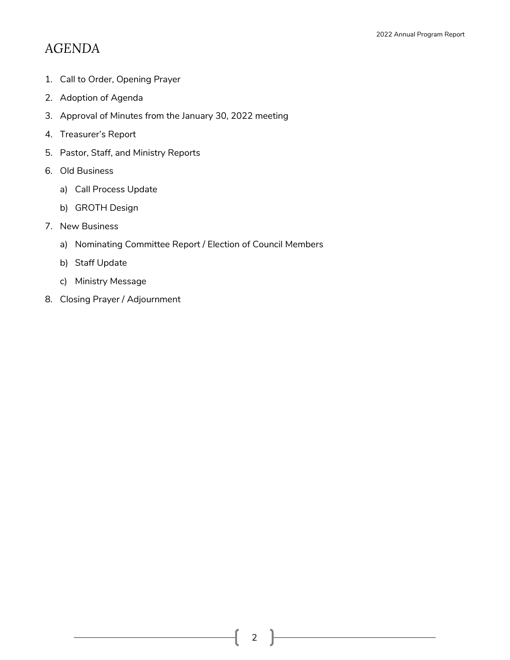## *AGENDA*

- 1. Call to Order, Opening Prayer
- 2. Adoption of Agenda
- 3. Approval of Minutes from the January 30, 2022 meeting
- 4. Treasurer's Report
- 5. Pastor, Staff, and Ministry Reports
- 6. Old Business
	- a) Call Process Update
	- b) GROTH Design
- 7. New Business
	- a) Nominating Committee Report / Election of Council Members
	- b) Staff Update
	- c) Ministry Message
- 8. Closing Prayer / Adjournment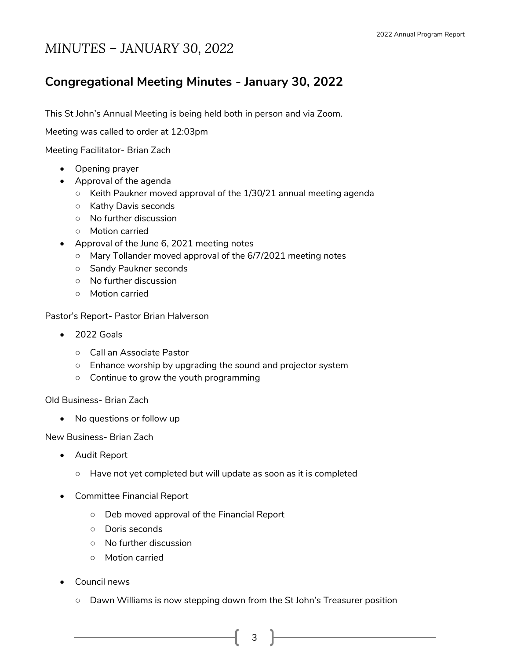## *MINUTES – JANUARY 30, 2022*

### **Congregational Meeting Minutes - January 30, 2022**

This St John's Annual Meeting is being held both in person and via Zoom.

Meeting was called to order at 12:03pm

Meeting Facilitator- Brian Zach

- Opening prayer
- Approval of the agenda
	- Keith Paukner moved approval of the 1/30/21 annual meeting agenda
	- Kathy Davis seconds
	- No further discussion
	- Motion carried
- Approval of the June 6, 2021 meeting notes
	- Mary Tollander moved approval of the 6/7/2021 meeting notes
	- Sandy Paukner seconds
	- No further discussion
	- Motion carried

Pastor's Report- Pastor Brian Halverson

- 2022 Goals
	- Call an Associate Pastor
	- Enhance worship by upgrading the sound and projector system
	- Continue to grow the youth programming

Old Business- Brian Zach

• No questions or follow up

New Business- Brian Zach

- Audit Report
	- Have not yet completed but will update as soon as it is completed
- Committee Financial Report
	- Deb moved approval of the Financial Report
	- Doris seconds
	- No further discussion
	- Motion carried
- Council news
	- Dawn Williams is now stepping down from the St John's Treasurer position
		- 3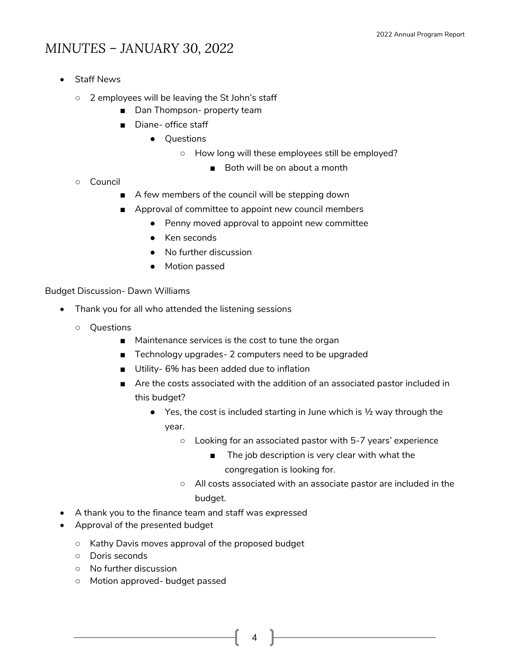## *MINUTES – JANUARY 30, 2022*

- **Staff News** 
	- 2 employees will be leaving the St John's staff
		- Dan Thompson- property team
		- Diane- office staff
			- Questions
				- How long will these employees still be employed?
					- Both will be on about a month

- Council
	- A few members of the council will be stepping down
	- Approval of committee to appoint new council members
		- Penny moved approval to appoint new committee
		- Ken seconds
		- No further discussion
		- Motion passed

Budget Discussion- Dawn Williams

- Thank you for all who attended the listening sessions
	- Questions
		- Maintenance services is the cost to tune the organ
		- Technology upgrades- 2 computers need to be upgraded
		- Utility- 6% has been added due to inflation
		- Are the costs associated with the addition of an associated pastor included in this budget?
			- $\bullet$  Yes, the cost is included starting in June which is  $\frac{1}{2}$  way through the year.
				- Looking for an associated pastor with 5-7 years' experience
					- The job description is very clear with what the congregation is looking for.
				- All costs associated with an associate pastor are included in the budget.
- A thank you to the finance team and staff was expressed
- Approval of the presented budget
	- Kathy Davis moves approval of the proposed budget
	- Doris seconds
	- No further discussion
	- Motion approved- budget passed

4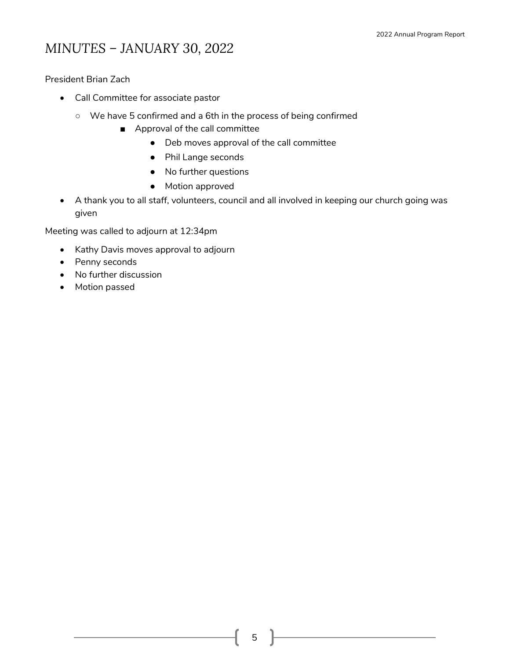## *MINUTES – JANUARY 30, 2022*

President Brian Zach

- Call Committee for associate pastor
	- We have 5 confirmed and a 6th in the process of being confirmed
		- Approval of the call committee
			- Deb moves approval of the call committee
			- Phil Lange seconds
			- No further questions
			- Motion approved
- A thank you to all staff, volunteers, council and all involved in keeping our church going was given

Meeting was called to adjourn at 12:34pm

- Kathy Davis moves approval to adjourn
- Penny seconds
- No further discussion
- Motion passed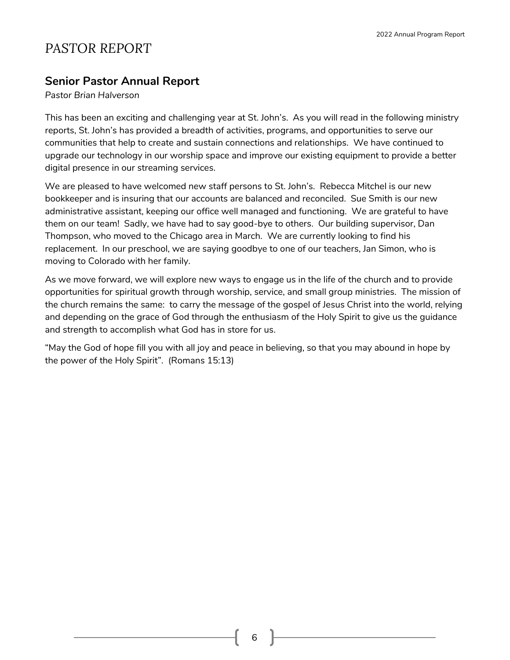## *PASTOR REPORT*

#### **Senior Pastor Annual Report**

*Pastor Brian Halverson*

This has been an exciting and challenging year at St. John's. As you will read in the following ministry reports, St. John's has provided a breadth of activities, programs, and opportunities to serve our communities that help to create and sustain connections and relationships. We have continued to upgrade our technology in our worship space and improve our existing equipment to provide a better digital presence in our streaming services.

We are pleased to have welcomed new staff persons to St. John's. Rebecca Mitchel is our new bookkeeper and is insuring that our accounts are balanced and reconciled. Sue Smith is our new administrative assistant, keeping our office well managed and functioning. We are grateful to have them on our team! Sadly, we have had to say good-bye to others. Our building supervisor, Dan Thompson, who moved to the Chicago area in March. We are currently looking to find his replacement. In our preschool, we are saying goodbye to one of our teachers, Jan Simon, who is moving to Colorado with her family.

As we move forward, we will explore new ways to engage us in the life of the church and to provide opportunities for spiritual growth through worship, service, and small group ministries. The mission of the church remains the same: to carry the message of the gospel of Jesus Christ into the world, relying and depending on the grace of God through the enthusiasm of the Holy Spirit to give us the guidance and strength to accomplish what God has in store for us.

"May the God of hope fill you with all joy and peace in believing, so that you may abound in hope by the power of the Holy Spirit". (Romans 15:13)

6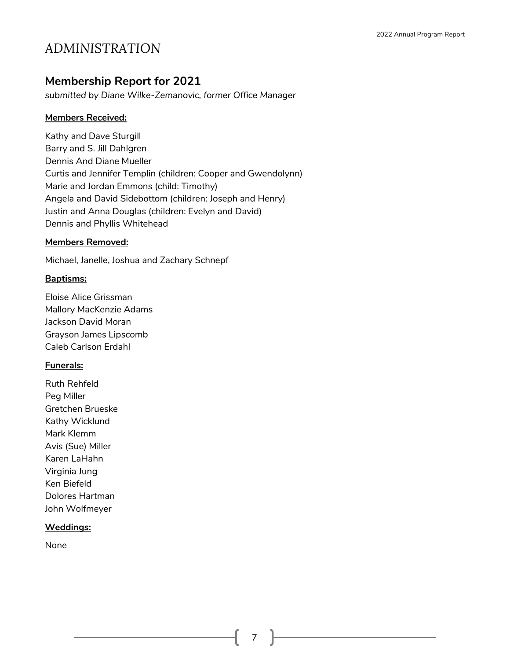## *ADMINISTRATION*

#### **Membership Report for 2021**

*submitted by Diane Wilke-Zemanovic, former Office Manager*

#### **Members Received:**

Kathy and Dave Sturgill Barry and S. Jill Dahlgren Dennis And Diane Mueller Curtis and Jennifer Templin (children: Cooper and Gwendolynn) Marie and Jordan Emmons (child: Timothy) Angela and David Sidebottom (children: Joseph and Henry) Justin and Anna Douglas (children: Evelyn and David) Dennis and Phyllis Whitehead

#### **Members Removed:**

Michael, Janelle, Joshua and Zachary Schnepf

#### **Baptisms:**

Eloise Alice Grissman Mallory MacKenzie Adams Jackson David Moran Grayson James Lipscomb Caleb Carlson Erdahl

#### **Funerals:**

Ruth Rehfeld Peg Miller Gretchen Brueske Kathy Wicklund Mark Klemm Avis (Sue) Miller Karen LaHahn Virginia Jung Ken Biefeld Dolores Hartman John Wolfmeyer

#### **Weddings:**

None

7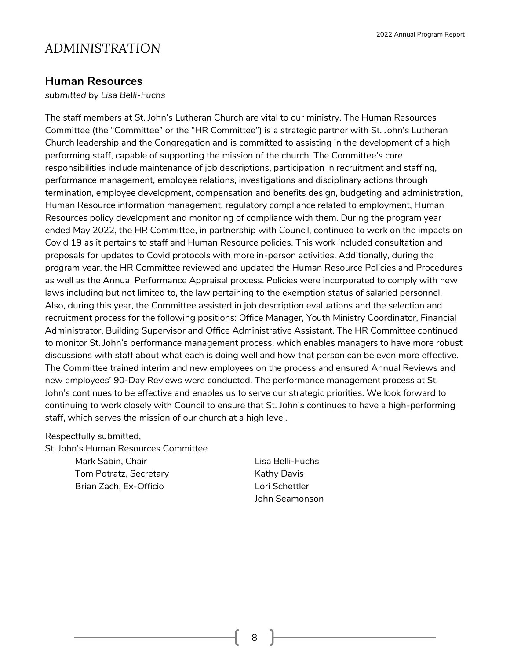### *ADMINISTRATION*

#### **Human Resources**

*submitted by Lisa Belli-Fuchs*

The staff members at St. John's Lutheran Church are vital to our ministry. The Human Resources Committee (the "Committee" or the "HR Committee") is a strategic partner with St. John's Lutheran Church leadership and the Congregation and is committed to assisting in the development of a high performing staff, capable of supporting the mission of the church. The Committee's core responsibilities include maintenance of job descriptions, participation in recruitment and staffing, performance management, employee relations, investigations and disciplinary actions through termination, employee development, compensation and benefits design, budgeting and administration, Human Resource information management, regulatory compliance related to employment, Human Resources policy development and monitoring of compliance with them. During the program year ended May 2022, the HR Committee, in partnership with Council, continued to work on the impacts on Covid 19 as it pertains to staff and Human Resource policies. This work included consultation and proposals for updates to Covid protocols with more in-person activities. Additionally, during the program year, the HR Committee reviewed and updated the Human Resource Policies and Procedures as well as the Annual Performance Appraisal process. Policies were incorporated to comply with new laws including but not limited to, the law pertaining to the exemption status of salaried personnel. Also, during this year, the Committee assisted in job description evaluations and the selection and recruitment process for the following positions: Office Manager, Youth Ministry Coordinator, Financial Administrator, Building Supervisor and Office Administrative Assistant. The HR Committee continued to monitor St. John's performance management process, which enables managers to have more robust discussions with staff about what each is doing well and how that person can be even more effective. The Committee trained interim and new employees on the process and ensured Annual Reviews and new employees' 90-Day Reviews were conducted. The performance management process at St. John's continues to be effective and enables us to serve our strategic priorities. We look forward to continuing to work closely with Council to ensure that St. John's continues to have a high-performing staff, which serves the mission of our church at a high level.

#### Respectfully submitted,

St. John's Human Resources Committee Mark Sabin, Chair **Lisa Belli-Fuchs** Tom Potratz, Secretary **Example 20 Exercise Contracts** Kathy Davis Brian Zach, Ex-Officio Lori Schettler

John Seamonson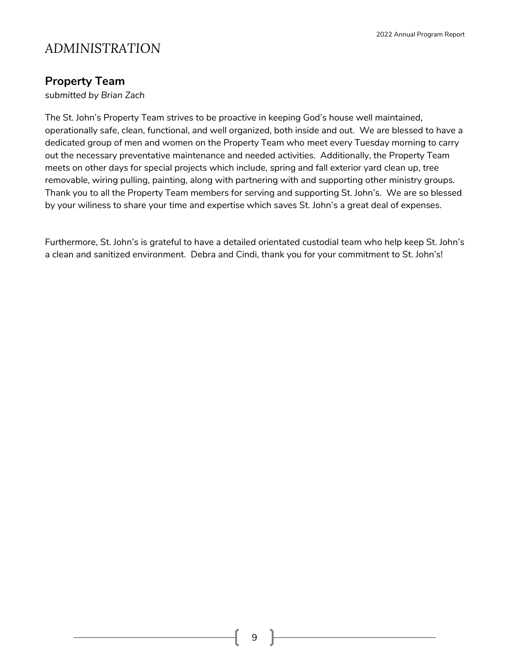## *ADMINISTRATION*

### **Property Team**

*submitted by Brian Zach*

The St. John's Property Team strives to be proactive in keeping God's house well maintained, operationally safe, clean, functional, and well organized, both inside and out. We are blessed to have a dedicated group of men and women on the Property Team who meet every Tuesday morning to carry out the necessary preventative maintenance and needed activities. Additionally, the Property Team meets on other days for special projects which include, spring and fall exterior yard clean up, tree removable, wiring pulling, painting, along with partnering with and supporting other ministry groups. Thank you to all the Property Team members for serving and supporting St. John's. We are so blessed by your wiliness to share your time and expertise which saves St. John's a great deal of expenses.

Furthermore, St. John's is grateful to have a detailed orientated custodial team who help keep St. John's a clean and sanitized environment. Debra and Cindi, thank you for your commitment to St. John's!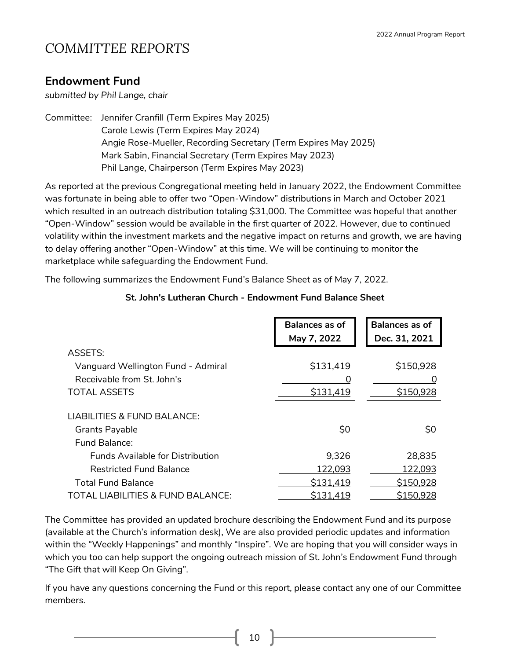### **Endowment Fund**

*submitted by Phil Lange, chair*

Committee: Jennifer Cranfill (Term Expires May 2025) Carole Lewis (Term Expires May 2024) Angie Rose-Mueller, Recording Secretary (Term Expires May 2025) Mark Sabin, Financial Secretary (Term Expires May 2023) Phil Lange, Chairperson (Term Expires May 2023)

As reported at the previous Congregational meeting held in January 2022, the Endowment Committee was fortunate in being able to offer two "Open-Window" distributions in March and October 2021 which resulted in an outreach distribution totaling \$31,000. The Committee was hopeful that another "Open-Window" session would be available in the first quarter of 2022. However, due to continued volatility within the investment markets and the negative impact on returns and growth, we are having to delay offering another "Open-Window" at this time. We will be continuing to monitor the marketplace while safeguarding the Endowment Fund.

The following summarizes the Endowment Fund's Balance Sheet as of May 7, 2022.

|                                              | <b>Balances as of</b> | <b>Balances as of</b> |
|----------------------------------------------|-----------------------|-----------------------|
|                                              | May 7, 2022           | Dec. 31, 2021         |
| <b>ASSETS:</b>                               |                       |                       |
| Vanguard Wellington Fund - Admiral           | \$131,419             | \$150,928             |
| Receivable from St. John's                   | O                     |                       |
| <b>TOTAL ASSETS</b>                          | \$131,419             | \$150,928             |
| <b>LIABILITIES &amp; FUND BALANCE:</b>       |                       |                       |
| <b>Grants Payable</b>                        | \$0                   | \$0                   |
| Fund Balance:                                |                       |                       |
| <b>Funds Available for Distribution</b>      | 9,326                 | 28,835                |
| <b>Restricted Fund Balance</b>               | 122,093               | 122,093               |
| <b>Total Fund Balance</b>                    | \$131,419             | \$150,928             |
| <b>TOTAL LIABILITIES &amp; FUND BALANCE:</b> | \$131,419             | \$150,928             |

#### **St. John's Lutheran Church - Endowment Fund Balance Sheet**

The Committee has provided an updated brochure describing the Endowment Fund and its purpose (available at the Church's information desk), We are also provided periodic updates and information within the "Weekly Happenings" and monthly "Inspire". We are hoping that you will consider ways in which you too can help support the ongoing outreach mission of St. John's Endowment Fund through "The Gift that will Keep On Giving".

If you have any questions concerning the Fund or this report, please contact any one of our Committee members.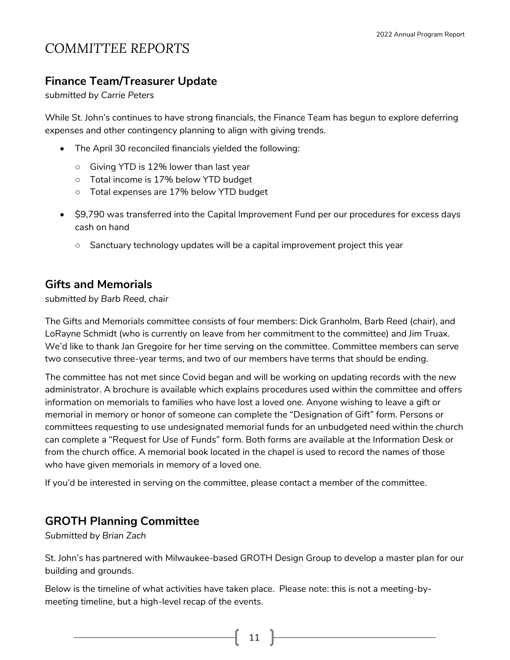### **Finance Team/Treasurer Update**

*submitted by Carrie Peters*

While St. John's continues to have strong financials, the Finance Team has begun to explore deferring expenses and other contingency planning to align with giving trends.

- The April 30 reconciled financials yielded the following:
	- Giving YTD is 12% lower than last year
	- Total income is 17% below YTD budget
	- Total expenses are 17% below YTD budget
- \$9,790 was transferred into the Capital Improvement Fund per our procedures for excess days cash on hand
	- Sanctuary technology updates will be a capital improvement project this year

### **Gifts and Memorials**

*submitted by Barb Reed, chair*

The Gifts and Memorials committee consists of four members: Dick Granholm, Barb Reed (chair), and LoRayne Schmidt (who is currently on leave from her commitment to the committee) and Jim Truax. We'd like to thank Jan Gregoire for her time serving on the committee. Committee members can serve two consecutive three-year terms, and two of our members have terms that should be ending.

The committee has not met since Covid began and will be working on updating records with the new administrator. A brochure is available which explains procedures used within the committee and offers information on memorials to families who have lost a loved one. Anyone wishing to leave a gift or memorial in memory or honor of someone can complete the "Designation of Gift" form. Persons or committees requesting to use undesignated memorial funds for an unbudgeted need within the church can complete a "Request for Use of Funds" form. Both forms are available at the Information Desk or from the church office. A memorial book located in the chapel is used to record the names of those who have given memorials in memory of a loved one.

If you'd be interested in serving on the committee, please contact a member of the committee.

### **GROTH Planning Committee**

*Submitted by Brian Zach*

St. John's has partnered with Milwaukee-based GROTH Design Group to develop a master plan for our building and grounds.

Below is the timeline of what activities have taken place. Please note: this is not a meeting-bymeeting timeline, but a high-level recap of the events.

 $11$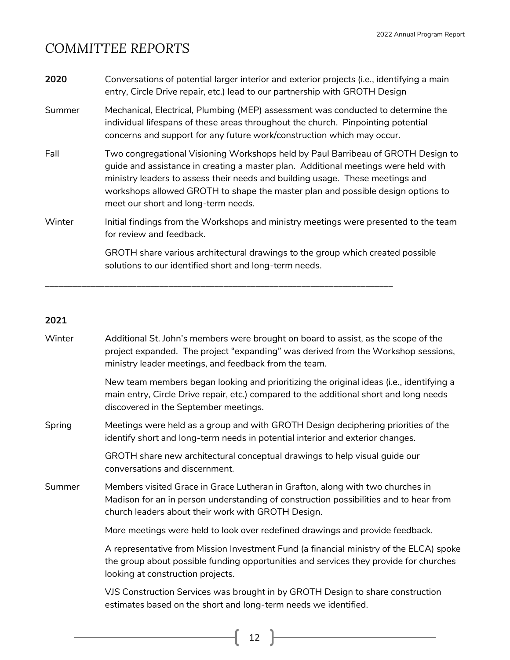| 2020   | Conversations of potential larger interior and exterior projects (i.e., identifying a main<br>entry, Circle Drive repair, etc.) lead to our partnership with GROTH Design                                                                                                                                                                                                         |
|--------|-----------------------------------------------------------------------------------------------------------------------------------------------------------------------------------------------------------------------------------------------------------------------------------------------------------------------------------------------------------------------------------|
| Summer | Mechanical, Electrical, Plumbing (MEP) assessment was conducted to determine the<br>individual lifespans of these areas throughout the church. Pinpointing potential<br>concerns and support for any future work/construction which may occur.                                                                                                                                    |
| Fall   | Two congregational Visioning Workshops held by Paul Barribeau of GROTH Design to<br>guide and assistance in creating a master plan. Additional meetings were held with<br>ministry leaders to assess their needs and building usage. These meetings and<br>workshops allowed GROTH to shape the master plan and possible design options to<br>meet our short and long-term needs. |
| Winter | Initial findings from the Workshops and ministry meetings were presented to the team<br>for review and feedback.                                                                                                                                                                                                                                                                  |
|        | GROTH share various architectural drawings to the group which created possible<br>solutions to our identified short and long-term needs.                                                                                                                                                                                                                                          |

\_\_\_\_\_\_\_\_\_\_\_\_\_\_\_\_\_\_\_\_\_\_\_\_\_\_\_\_\_\_\_\_\_\_\_\_\_\_\_\_\_\_\_\_\_\_\_\_\_\_\_\_\_\_\_\_\_\_\_\_\_\_\_\_\_\_\_\_\_\_\_\_\_\_\_\_

#### **2021**

| Winter | Additional St. John's members were brought on board to assist, as the scope of the<br>project expanded. The project "expanding" was derived from the Workshop sessions,<br>ministry leader meetings, and feedback from the team. |
|--------|----------------------------------------------------------------------------------------------------------------------------------------------------------------------------------------------------------------------------------|
|        | New team members began looking and prioritizing the original ideas (i.e., identifying a<br>main entry, Circle Drive repair, etc.) compared to the additional short and long needs<br>discovered in the September meetings.       |
| Spring | Meetings were held as a group and with GROTH Design deciphering priorities of the<br>identify short and long-term needs in potential interior and exterior changes.                                                              |
|        | GROTH share new architectural conceptual drawings to help visual guide our<br>conversations and discernment.                                                                                                                     |
| Summer | Members visited Grace in Grace Lutheran in Grafton, along with two churches in<br>Madison for an in person understanding of construction possibilities and to hear from<br>church leaders about their work with GROTH Design.    |
|        | More meetings were held to look over redefined drawings and provide feedback.                                                                                                                                                    |
|        | A representative from Mission Investment Fund (a financial ministry of the ELCA) spoke<br>the group about possible funding opportunities and services they provide for churches<br>looking at construction projects.             |
|        | VJS Construction Services was brought in by GROTH Design to share construction<br>estimates based on the short and long-term needs we identified.                                                                                |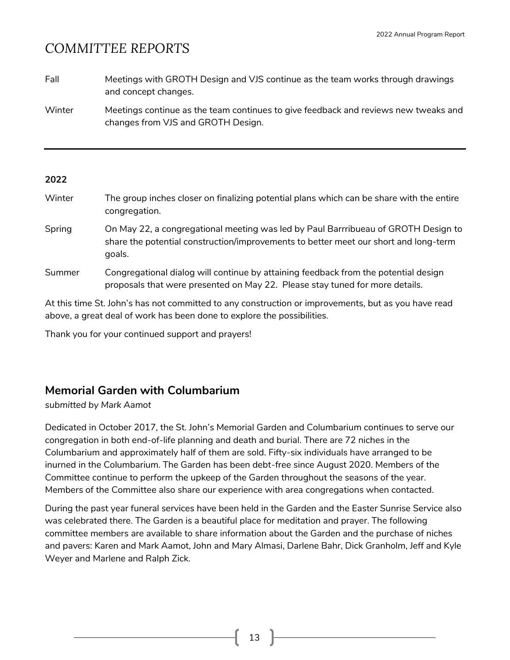| Fall | Meetings with GROTH Design and VJS continue as the team works through drawings |
|------|--------------------------------------------------------------------------------|
|      | and concept changes.                                                           |

Winter Meetings continue as the team continues to give feedback and reviews new tweaks and changes from VJS and GROTH Design.

#### **2022**

| Winter | The group inches closer on finalizing potential plans which can be share with the entire<br>congregation.                                                                            |
|--------|--------------------------------------------------------------------------------------------------------------------------------------------------------------------------------------|
| Spring | On May 22, a congregational meeting was led by Paul Barrribueau of GROTH Design to<br>share the potential construction/improvements to better meet our short and long-term<br>goals. |
| Summer | Congregational dialog will continue by attaining feedback from the potential design                                                                                                  |

At this time St. John's has not committed to any construction or improvements, but as you have read above, a great deal of work has been done to explore the possibilities.

proposals that were presented on May 22. Please stay tuned for more details.

Thank you for your continued support and prayers!

#### **Memorial Garden with Columbarium**

*submitted by Mark Aamot*

Dedicated in October 2017, the St. John's Memorial Garden and Columbarium continues to serve our congregation in both end-of-life planning and death and burial. There are 72 niches in the Columbarium and approximately half of them are sold. Fifty-six individuals have arranged to be inurned in the Columbarium. The Garden has been debt-free since August 2020. Members of the Committee continue to perform the upkeep of the Garden throughout the seasons of the year. Members of the Committee also share our experience with area congregations when contacted.

During the past year funeral services have been held in the Garden and the Easter Sunrise Service also was celebrated there. The Garden is a beautiful place for meditation and prayer. The following committee members are available to share information about the Garden and the purchase of niches and pavers: Karen and Mark Aamot, John and Mary Almasi, Darlene Bahr, Dick Granholm, Jeff and Kyle Weyer and Marlene and Ralph Zick.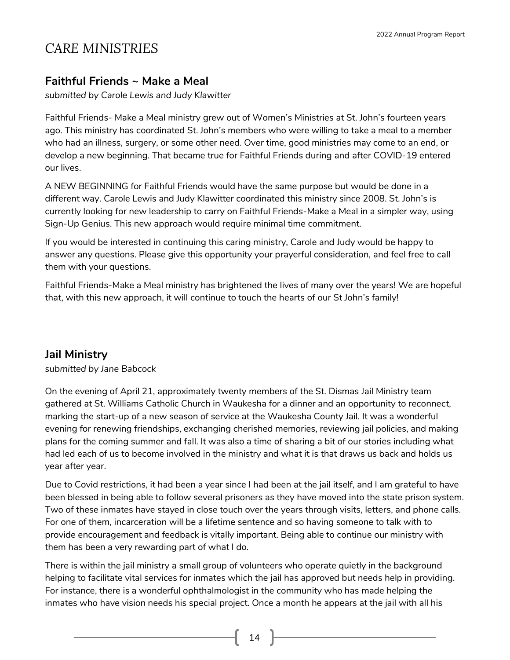## *CARE MINISTRIES*

#### **Faithful Friends ~ Make a Meal**

*submitted by Carole Lewis and Judy Klawitter*

Faithful Friends- Make a Meal ministry grew out of Women's Ministries at St. John's fourteen years ago. This ministry has coordinated St. John's members who were willing to take a meal to a member who had an illness, surgery, or some other need. Over time, good ministries may come to an end, or develop a new beginning. That became true for Faithful Friends during and after COVID-19 entered our lives.

A NEW BEGINNING for Faithful Friends would have the same purpose but would be done in a different way. Carole Lewis and Judy Klawitter coordinated this ministry since 2008. St. John's is currently looking for new leadership to carry on Faithful Friends-Make a Meal in a simpler way, using Sign-Up Genius. This new approach would require minimal time commitment.

If you would be interested in continuing this caring ministry, Carole and Judy would be happy to answer any questions. Please give this opportunity your prayerful consideration, and feel free to call them with your questions.

Faithful Friends-Make a Meal ministry has brightened the lives of many over the years! We are hopeful that, with this new approach, it will continue to touch the hearts of our St John's family!

### **Jail Ministry**

*submitted by Jane Babcock*

On the evening of April 21, approximately twenty members of the St. Dismas Jail Ministry team gathered at St. Williams Catholic Church in Waukesha for a dinner and an opportunity to reconnect, marking the start-up of a new season of service at the Waukesha County Jail. It was a wonderful evening for renewing friendships, exchanging cherished memories, reviewing jail policies, and making plans for the coming summer and fall. It was also a time of sharing a bit of our stories including what had led each of us to become involved in the ministry and what it is that draws us back and holds us year after year.

Due to Covid restrictions, it had been a year since I had been at the jail itself, and I am grateful to have been blessed in being able to follow several prisoners as they have moved into the state prison system. Two of these inmates have stayed in close touch over the years through visits, letters, and phone calls. For one of them, incarceration will be a lifetime sentence and so having someone to talk with to provide encouragement and feedback is vitally important. Being able to continue our ministry with them has been a very rewarding part of what I do.

There is within the jail ministry a small group of volunteers who operate quietly in the background helping to facilitate vital services for inmates which the jail has approved but needs help in providing. For instance, there is a wonderful ophthalmologist in the community who has made helping the inmates who have vision needs his special project. Once a month he appears at the jail with all his

 $14$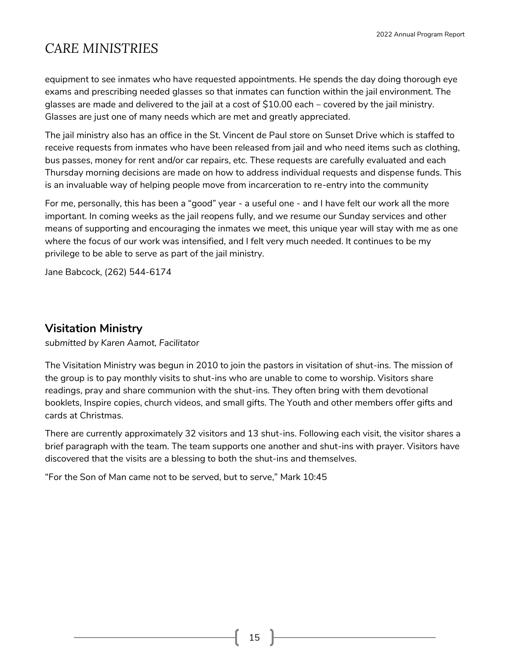## *CARE MINISTRIES*

equipment to see inmates who have requested appointments. He spends the day doing thorough eye exams and prescribing needed glasses so that inmates can function within the jail environment. The glasses are made and delivered to the jail at a cost of \$10.00 each – covered by the jail ministry. Glasses are just one of many needs which are met and greatly appreciated.

The jail ministry also has an office in the St. Vincent de Paul store on Sunset Drive which is staffed to receive requests from inmates who have been released from jail and who need items such as clothing, bus passes, money for rent and/or car repairs, etc. These requests are carefully evaluated and each Thursday morning decisions are made on how to address individual requests and dispense funds. This is an invaluable way of helping people move from incarceration to re-entry into the community

For me, personally, this has been a "good" year - a useful one - and I have felt our work all the more important. In coming weeks as the jail reopens fully, and we resume our Sunday services and other means of supporting and encouraging the inmates we meet, this unique year will stay with me as one where the focus of our work was intensified, and I felt very much needed. It continues to be my privilege to be able to serve as part of the jail ministry.

Jane Babcock, (262) 544-6174

### **Visitation Ministry**

*submitted by Karen Aamot, Facilitator*

The Visitation Ministry was begun in 2010 to join the pastors in visitation of shut-ins. The mission of the group is to pay monthly visits to shut-ins who are unable to come to worship. Visitors share readings, pray and share communion with the shut-ins. They often bring with them devotional booklets, Inspire copies, church videos, and small gifts. The Youth and other members offer gifts and cards at Christmas.

There are currently approximately 32 visitors and 13 shut-ins. Following each visit, the visitor shares a brief paragraph with the team. The team supports one another and shut-ins with prayer. Visitors have discovered that the visits are a blessing to both the shut-ins and themselves.

"For the Son of Man came not to be served, but to serve," Mark 10:45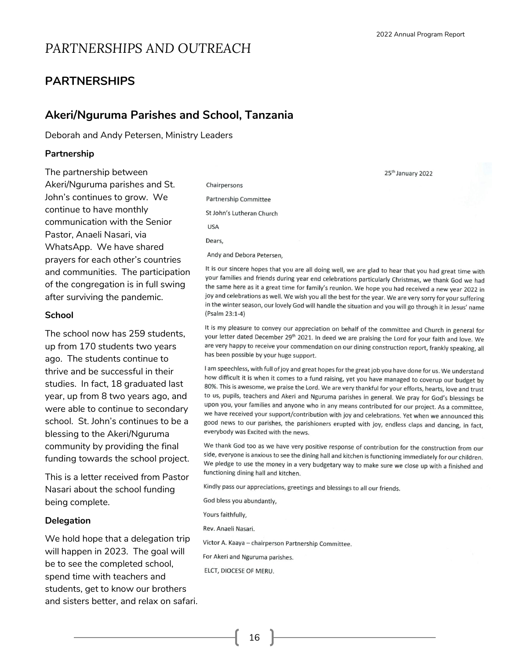25<sup>th</sup> January 2022

## *PARTNERSHIPS AND OUTREACH*

#### **PARTNERSHIPS**

#### **Akeri/Nguruma Parishes and School, Tanzania**

Deborah and Andy Petersen, Ministry Leaders

#### **Partnership**

The partnership between Akeri/Nguruma parishes and St. John's continues to grow. We continue to have monthly communication with the Senior Pastor, Anaeli Nasari, via WhatsApp. We have shared prayers for each other's countries and communities. The participation of the congregation is in full swing after surviving the pandemic.

#### **School**

The school now has 259 students, up from 170 students two years ago. The students continue to thrive and be successful in their studies. In fact, 18 graduated last year, up from 8 two years ago, and were able to continue to secondary school. St. John's continues to be a blessing to the Akeri/Nguruma community by providing the final funding towards the school project.

This is a letter received from Pastor Nasari about the school funding being complete.

#### **Delegation**

We hold hope that a delegation trip will happen in 2023. The goal will be to see the completed school, spend time with teachers and students, get to know our brothers and sisters better, and relax on safari.

Chairpersons **Partnership Committee** St John's Lutheran Church **USA** Dears. Andy and Debora Petersen,

It is our sincere hopes that you are all doing well, we are glad to hear that you had great time with your families and friends during year end celebrations particularly Christmas, we thank God we had the same here as it a great time for family's reunion. We hope you had received a new year 2022 in joy and celebrations as well. We wish you all the best for the year. We are very sorry for your suffering in the winter season, our lovely God will handle the situation and you will go through it in Jesus' name (Psalm 23:1-4)

It is my pleasure to convey our appreciation on behalf of the committee and Church in general for your letter dated December 29th 2021. In deed we are praising the Lord for your faith and love. We are very happy to receive your commendation on our dining construction report, frankly speaking, all has been possible by your huge support.

I am speechless, with full of joy and great hopes for the great job you have done for us. We understand how difficult it is when it comes to a fund raising, yet you have managed to coverup our budget by 80%. This is awesome, we praise the Lord. We are very thankful for your efforts, hearts, love and trust to us, pupils, teachers and Akeri and Nguruma parishes in general. We pray for God's blessings be upon you, your families and anyone who in any means contributed for our project. As a committee, we have received your support/contribution with joy and celebrations. Yet when we announced this good news to our parishes, the parishioners erupted with joy, endless claps and dancing, in fact, everybody was Excited with the news.

We thank God too as we have very positive response of contribution for the construction from our side, everyone is anxious to see the dining hall and kitchen is functioning immediately for our children. We pledge to use the money in a very budgetary way to make sure we close up with a finished and functioning dining hall and kitchen.

Kindly pass our appreciations, greetings and blessings to all our friends.

God bless you abundantly,

Yours faithfully,

Rev. Anaeli Nasari.

Victor A. Kaaya - chairperson Partnership Committee.

For Akeri and Nguruma parishes.

ELCT, DIOCESE OF MERU.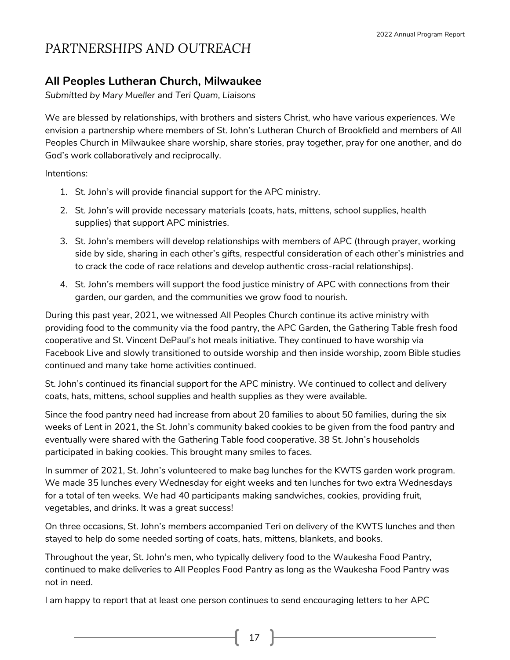### **All Peoples Lutheran Church, Milwaukee**

*Submitted by Mary Mueller and Teri Quam, Liaisons*

We are blessed by relationships, with brothers and sisters Christ, who have various experiences. We envision a partnership where members of St. John's Lutheran Church of Brookfield and members of All Peoples Church in Milwaukee share worship, share stories, pray together, pray for one another, and do God's work collaboratively and reciprocally.

Intentions:

- 1. St. John's will provide financial support for the APC ministry.
- 2. St. John's will provide necessary materials (coats, hats, mittens, school supplies, health supplies) that support APC ministries.
- 3. St. John's members will develop relationships with members of APC (through prayer, working side by side, sharing in each other's gifts, respectful consideration of each other's ministries and to crack the code of race relations and develop authentic cross-racial relationships).
- 4. St. John's members will support the food justice ministry of APC with connections from their garden, our garden, and the communities we grow food to nourish.

During this past year, 2021, we witnessed All Peoples Church continue its active ministry with providing food to the community via the food pantry, the APC Garden, the Gathering Table fresh food cooperative and St. Vincent DePaul's hot meals initiative. They continued to have worship via Facebook Live and slowly transitioned to outside worship and then inside worship, zoom Bible studies continued and many take home activities continued.

St. John's continued its financial support for the APC ministry. We continued to collect and delivery coats, hats, mittens, school supplies and health supplies as they were available.

Since the food pantry need had increase from about 20 families to about 50 families, during the six weeks of Lent in 2021, the St. John's community baked cookies to be given from the food pantry and eventually were shared with the Gathering Table food cooperative. 38 St. John's households participated in baking cookies. This brought many smiles to faces.

In summer of 2021, St. John's volunteered to make bag lunches for the KWTS garden work program. We made 35 lunches every Wednesday for eight weeks and ten lunches for two extra Wednesdays for a total of ten weeks. We had 40 participants making sandwiches, cookies, providing fruit, vegetables, and drinks. It was a great success!

On three occasions, St. John's members accompanied Teri on delivery of the KWTS lunches and then stayed to help do some needed sorting of coats, hats, mittens, blankets, and books.

Throughout the year, St. John's men, who typically delivery food to the Waukesha Food Pantry, continued to make deliveries to All Peoples Food Pantry as long as the Waukesha Food Pantry was not in need.

I am happy to report that at least one person continues to send encouraging letters to her APC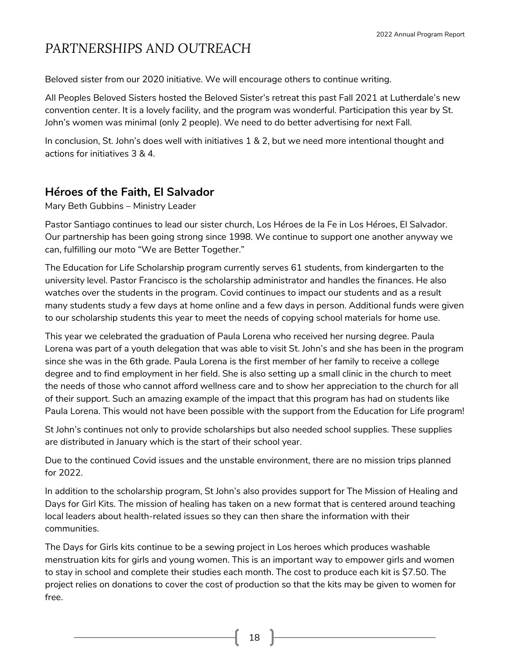Beloved sister from our 2020 initiative. We will encourage others to continue writing.

All Peoples Beloved Sisters hosted the Beloved Sister's retreat this past Fall 2021 at Lutherdale's new convention center. It is a lovely facility, and the program was wonderful. Participation this year by St. John's women was minimal (only 2 people). We need to do better advertising for next Fall.

In conclusion, St. John's does well with initiatives 1 & 2, but we need more intentional thought and actions for initiatives 3 & 4.

### **Héroes of the Faith, El Salvador**

Mary Beth Gubbins – Ministry Leader

Pastor Santiago continues to lead our sister church, Los Héroes de la Fe in Los Héroes, El Salvador. Our partnership has been going strong since 1998. We continue to support one another anyway we can, fulfilling our moto "We are Better Together."

The Education for Life Scholarship program currently serves 61 students, from kindergarten to the university level. Pastor Francisco is the scholarship administrator and handles the finances. He also watches over the students in the program. Covid continues to impact our students and as a result many students study a few days at home online and a few days in person. Additional funds were given to our scholarship students this year to meet the needs of copying school materials for home use.

This year we celebrated the graduation of Paula Lorena who received her nursing degree. Paula Lorena was part of a youth delegation that was able to visit St. John's and she has been in the program since she was in the 6th grade. Paula Lorena is the first member of her family to receive a college degree and to find employment in her field. She is also setting up a small clinic in the church to meet the needs of those who cannot afford wellness care and to show her appreciation to the church for all of their support. Such an amazing example of the impact that this program has had on students like Paula Lorena. This would not have been possible with the support from the Education for Life program!

St John's continues not only to provide scholarships but also needed school supplies. These supplies are distributed in January which is the start of their school year.

Due to the continued Covid issues and the unstable environment, there are no mission trips planned for 2022.

In addition to the scholarship program, St John's also provides support for The Mission of Healing and Days for Girl Kits. The mission of healing has taken on a new format that is centered around teaching local leaders about health-related issues so they can then share the information with their communities.

The Days for Girls kits continue to be a sewing project in Los heroes which produces washable menstruation kits for girls and young women. This is an important way to empower girls and women to stay in school and complete their studies each month. The cost to produce each kit is \$7.50. The project relies on donations to cover the cost of production so that the kits may be given to women for free.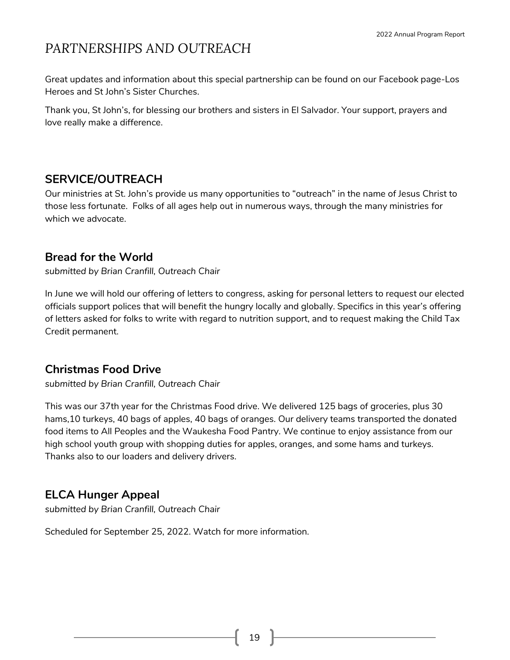Great updates and information about this special partnership can be found on our Facebook page-Los Heroes and St John's Sister Churches.

Thank you, St John's, for blessing our brothers and sisters in El Salvador. Your support, prayers and love really make a difference.

### **SERVICE/OUTREACH**

Our ministries at St. John's provide us many opportunities to "outreach" in the name of Jesus Christ to those less fortunate. Folks of all ages help out in numerous ways, through the many ministries for which we advocate.

### **Bread for the World**

*submitted by Brian Cranfill, Outreach Chair*

In June we will hold our offering of letters to congress, asking for personal letters to request our elected officials support polices that will benefit the hungry locally and globally. Specifics in this year's offering of letters asked for folks to write with regard to nutrition support, and to request making the Child Tax Credit permanent.

### **Christmas Food Drive**

*submitted by Brian Cranfill, Outreach Chair*

This was our 37th year for the Christmas Food drive. We delivered 125 bags of groceries, plus 30 hams,10 turkeys, 40 bags of apples, 40 bags of oranges. Our delivery teams transported the donated food items to All Peoples and the Waukesha Food Pantry. We continue to enjoy assistance from our high school youth group with shopping duties for apples, oranges, and some hams and turkeys. Thanks also to our loaders and delivery drivers.

### **ELCA Hunger Appeal**

*submitted by Brian Cranfill, Outreach Chair*

Scheduled for September 25, 2022. Watch for more information.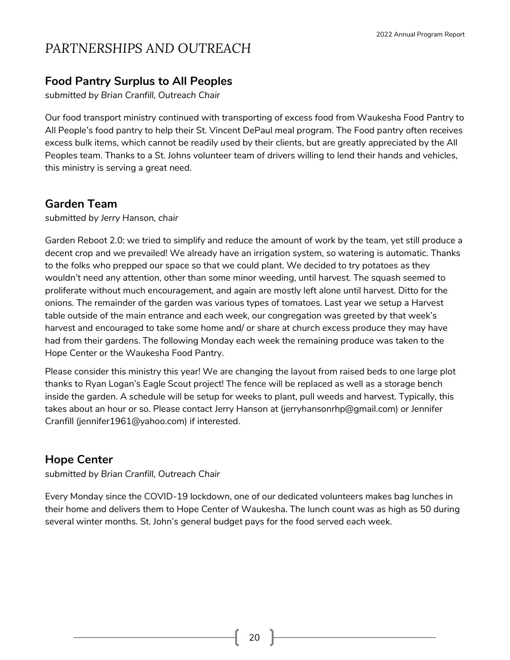### **Food Pantry Surplus to All Peoples**

*submitted by Brian Cranfill, Outreach Chair*

Our food transport ministry continued with transporting of excess food from Waukesha Food Pantry to All People's food pantry to help their St. Vincent DePaul meal program. The Food pantry often receives excess bulk items, which cannot be readily used by their clients, but are greatly appreciated by the All Peoples team. Thanks to a St. Johns volunteer team of drivers willing to lend their hands and vehicles, this ministry is serving a great need.

### **Garden Team**

*submitted by Jerry Hanson, chair*

Garden Reboot 2.0: we tried to simplify and reduce the amount of work by the team, yet still produce a decent crop and we prevailed! We already have an irrigation system, so watering is automatic. Thanks to the folks who prepped our space so that we could plant. We decided to try potatoes as they wouldn't need any attention, other than some minor weeding, until harvest. The squash seemed to proliferate without much encouragement, and again are mostly left alone until harvest. Ditto for the onions. The remainder of the garden was various types of tomatoes. Last year we setup a Harvest table outside of the main entrance and each week, our congregation was greeted by that week's harvest and encouraged to take some home and/ or share at church excess produce they may have had from their gardens. The following Monday each week the remaining produce was taken to the Hope Center or the Waukesha Food Pantry.

Please consider this ministry this year! We are changing the layout from raised beds to one large plot thanks to Ryan Logan's Eagle Scout project! The fence will be replaced as well as a storage bench inside the garden. A schedule will be setup for weeks to plant, pull weeds and harvest. Typically, this takes about an hour or so. Please contact Jerry Hanson at (jerryhansonrhp@gmail.com) or Jennifer Cranfill (jennifer1961@yahoo.com) if interested.

### **Hope Center**

*submitted by Brian Cranfill, Outreach Chair*

Every Monday since the COVID-19 lockdown, one of our dedicated volunteers makes bag lunches in their home and delivers them to Hope Center of Waukesha. The lunch count was as high as 50 during several winter months. St. John's general budget pays for the food served each week.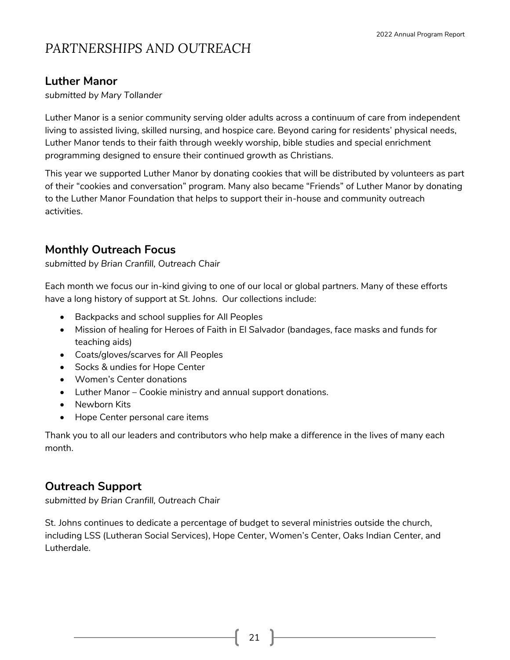### **Luther Manor**

*submitted by Mary Tollander*

Luther Manor is a senior community serving older adults across a continuum of care from independent living to assisted living, skilled nursing, and hospice care. Beyond caring for residents' physical needs, Luther Manor tends to their faith through weekly worship, bible studies and special enrichment programming designed to ensure their continued growth as Christians.

This year we supported Luther Manor by donating cookies that will be distributed by volunteers as part of their "cookies and conversation" program. Many also became "Friends" of Luther Manor by donating to the Luther Manor Foundation that helps to support their in-house and community outreach activities.

### **Monthly Outreach Focus**

*submitted by Brian Cranfill, Outreach Chair*

Each month we focus our in-kind giving to one of our local or global partners. Many of these efforts have a long history of support at St. Johns. Our collections include:

- Backpacks and school supplies for All Peoples
- Mission of healing for Heroes of Faith in El Salvador (bandages, face masks and funds for teaching aids)
- Coats/gloves/scarves for All Peoples
- Socks & undies for Hope Center
- Women's Center donations
- Luther Manor Cookie ministry and annual support donations.
- Newborn Kits
- Hope Center personal care items

Thank you to all our leaders and contributors who help make a difference in the lives of many each month.

### **Outreach Support**

*submitted by Brian Cranfill, Outreach Chair*

St. Johns continues to dedicate a percentage of budget to several ministries outside the church, including LSS (Lutheran Social Services), Hope Center, Women's Center, Oaks Indian Center, and Lutherdale.

21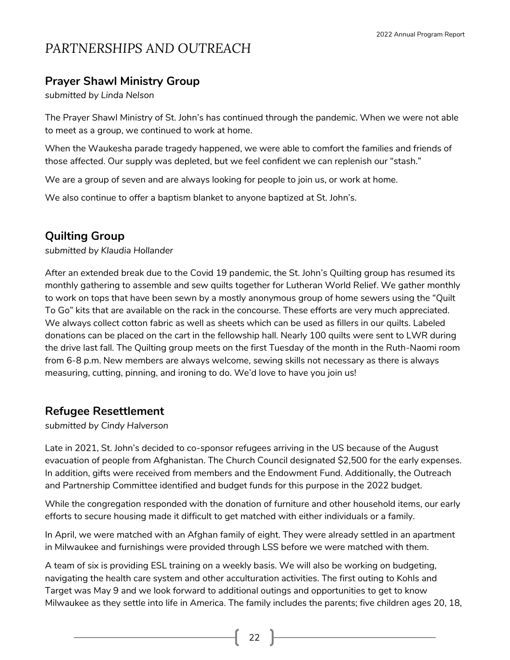### **Prayer Shawl Ministry Group**

*submitted by Linda Nelson*

The Prayer Shawl Ministry of St. John's has continued through the pandemic. When we were not able to meet as a group, we continued to work at home.

When the Waukesha parade tragedy happened, we were able to comfort the families and friends of those affected. Our supply was depleted, but we feel confident we can replenish our "stash."

We are a group of seven and are always looking for people to join us, or work at home.

We also continue to offer a baptism blanket to anyone baptized at St. John's.

### **Quilting Group**

*submitted by Klaudia Hollander*

After an extended break due to the Covid 19 pandemic, the St. John's Quilting group has resumed its monthly gathering to assemble and sew quilts together for Lutheran World Relief. We gather monthly to work on tops that have been sewn by a mostly anonymous group of home sewers using the "Quilt To Go" kits that are available on the rack in the concourse. These efforts are very much appreciated. We always collect cotton fabric as well as sheets which can be used as fillers in our quilts. Labeled donations can be placed on the cart in the fellowship hall. Nearly 100 quilts were sent to LWR during the drive last fall. The Quilting group meets on the first Tuesday of the month in the Ruth-Naomi room from 6-8 p.m. New members are always welcome, sewing skills not necessary as there is always measuring, cutting, pinning, and ironing to do. We'd love to have you join us!

### **Refugee Resettlement**

*submitted by Cindy Halverson*

Late in 2021, St. John's decided to co-sponsor refugees arriving in the US because of the August evacuation of people from Afghanistan. The Church Council designated \$2,500 for the early expenses. In addition, gifts were received from members and the Endowment Fund. Additionally, the Outreach and Partnership Committee identified and budget funds for this purpose in the 2022 budget.

While the congregation responded with the donation of furniture and other household items, our early efforts to secure housing made it difficult to get matched with either individuals or a family.

In April, we were matched with an Afghan family of eight. They were already settled in an apartment in Milwaukee and furnishings were provided through LSS before we were matched with them.

A team of six is providing ESL training on a weekly basis. We will also be working on budgeting, navigating the health care system and other acculturation activities. The first outing to Kohls and Target was May 9 and we look forward to additional outings and opportunities to get to know Milwaukee as they settle into life in America. The family includes the parents; five children ages 20, 18,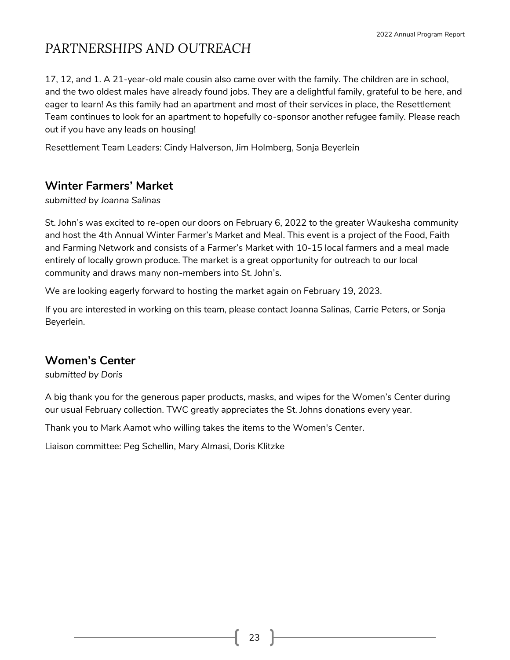17, 12, and 1. A 21-year-old male cousin also came over with the family. The children are in school, and the two oldest males have already found jobs. They are a delightful family, grateful to be here, and eager to learn! As this family had an apartment and most of their services in place, the Resettlement Team continues to look for an apartment to hopefully co-sponsor another refugee family. Please reach out if you have any leads on housing!

Resettlement Team Leaders: Cindy Halverson, Jim Holmberg, Sonja Beyerlein

### **Winter Farmers' Market**

*submitted by Joanna Salinas*

St. John's was excited to re-open our doors on February 6, 2022 to the greater Waukesha community and host the 4th Annual Winter Farmer's Market and Meal. This event is a project of the Food, Faith and Farming Network and consists of a Farmer's Market with 10-15 local farmers and a meal made entirely of locally grown produce. The market is a great opportunity for outreach to our local community and draws many non-members into St. John's.

We are looking eagerly forward to hosting the market again on February 19, 2023.

If you are interested in working on this team, please contact Joanna Salinas, Carrie Peters, or Sonja Beyerlein.

### **Women's Center**

*submitted by Doris* 

A big thank you for the generous paper products, masks, and wipes for the Women's Center during our usual February collection. TWC greatly appreciates the St. Johns donations every year.

Thank you to Mark Aamot who willing takes the items to the Women's Center.

Liaison committee: Peg Schellin, Mary Almasi, Doris Klitzke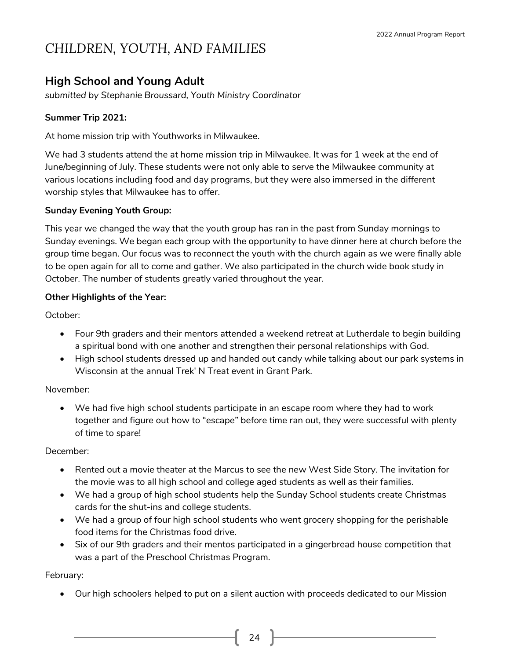### **High School and Young Adult**

*submitted by Stephanie Broussard, Youth Ministry Coordinator*

#### **Summer Trip 2021:**

At home mission trip with Youthworks in Milwaukee.

We had 3 students attend the at home mission trip in Milwaukee. It was for 1 week at the end of June/beginning of July. These students were not only able to serve the Milwaukee community at various locations including food and day programs, but they were also immersed in the different worship styles that Milwaukee has to offer.

#### **Sunday Evening Youth Group:**

This year we changed the way that the youth group has ran in the past from Sunday mornings to Sunday evenings. We began each group with the opportunity to have dinner here at church before the group time began. Our focus was to reconnect the youth with the church again as we were finally able to be open again for all to come and gather. We also participated in the church wide book study in October. The number of students greatly varied throughout the year.

#### **Other Highlights of the Year:**

October:

- Four 9th graders and their mentors attended a weekend retreat at Lutherdale to begin building a spiritual bond with one another and strengthen their personal relationships with God.
- High school students dressed up and handed out candy while talking about our park systems in Wisconsin at the annual Trek' N Treat event in Grant Park.

#### November:

• We had five high school students participate in an escape room where they had to work together and figure out how to "escape" before time ran out, they were successful with plenty of time to spare!

#### December:

- Rented out a movie theater at the Marcus to see the new West Side Story. The invitation for the movie was to all high school and college aged students as well as their families.
- We had a group of high school students help the Sunday School students create Christmas cards for the shut-ins and college students.
- We had a group of four high school students who went grocery shopping for the perishable food items for the Christmas food drive.
- Six of our 9th graders and their mentos participated in a gingerbread house competition that was a part of the Preschool Christmas Program.

February:

• Our high schoolers helped to put on a silent auction with proceeds dedicated to our Mission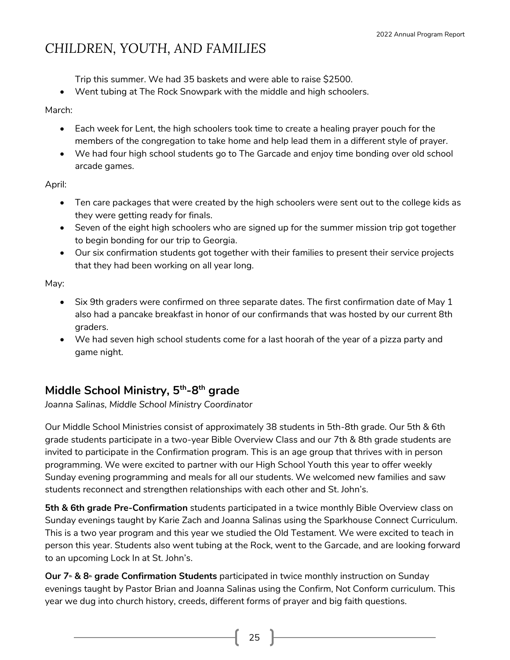Trip this summer. We had 35 baskets and were able to raise \$2500.

• Went tubing at The Rock Snowpark with the middle and high schoolers.

March:

- Each week for Lent, the high schoolers took time to create a healing prayer pouch for the members of the congregation to take home and help lead them in a different style of prayer.
- We had four high school students go to The Garcade and enjoy time bonding over old school arcade games.

April:

- Ten care packages that were created by the high schoolers were sent out to the college kids as they were getting ready for finals.
- Seven of the eight high schoolers who are signed up for the summer mission trip got together to begin bonding for our trip to Georgia.
- Our six confirmation students got together with their families to present their service projects that they had been working on all year long.

May:

- Six 9th graders were confirmed on three separate dates. The first confirmation date of May 1 also had a pancake breakfast in honor of our confirmands that was hosted by our current 8th graders.
- We had seven high school students come for a last hoorah of the year of a pizza party and game night.

### **Middle School Ministry, 5th -8 th grade**

*Joanna Salinas, Middle School Ministry Coordinator*

Our Middle School Ministries consist of approximately 38 students in 5th-8th grade. Our 5th & 6th grade students participate in a two-year Bible Overview Class and our 7th & 8th grade students are invited to participate in the Confirmation program. This is an age group that thrives with in person programming. We were excited to partner with our High School Youth this year to offer weekly Sunday evening programming and meals for all our students. We welcomed new families and saw students reconnect and strengthen relationships with each other and St. John's.

**5th & 6th grade Pre-Confirmation** students participated in a twice monthly Bible Overview class on Sunday evenings taught by Karie Zach and Joanna Salinas using the Sparkhouse Connect Curriculum. This is a two year program and this year we studied the Old Testament. We were excited to teach in person this year. Students also went tubing at the Rock, went to the Garcade, and are looking forward to an upcoming Lock In at St. John's.

**Our 7th & 8th grade Confirmation Students** participated in twice monthly instruction on Sunday evenings taught by Pastor Brian and Joanna Salinas using the Confirm, Not Conform curriculum. This year we dug into church history, creeds, different forms of prayer and big faith questions.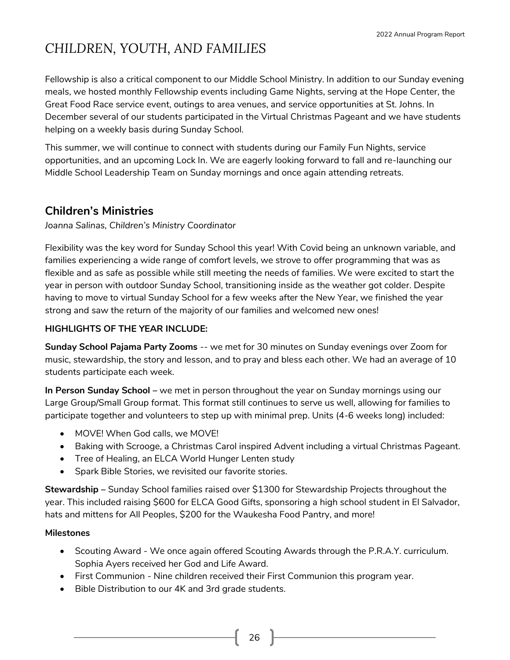Fellowship is also a critical component to our Middle School Ministry. In addition to our Sunday evening meals, we hosted monthly Fellowship events including Game Nights, serving at the Hope Center, the Great Food Race service event, outings to area venues, and service opportunities at St. Johns. In December several of our students participated in the Virtual Christmas Pageant and we have students helping on a weekly basis during Sunday School.

This summer, we will continue to connect with students during our Family Fun Nights, service opportunities, and an upcoming Lock In. We are eagerly looking forward to fall and re-launching our Middle School Leadership Team on Sunday mornings and once again attending retreats.

### **Children's Ministries**

*Joanna Salinas, Children's Ministry Coordinator*

Flexibility was the key word for Sunday School this year! With Covid being an unknown variable, and families experiencing a wide range of comfort levels, we strove to offer programming that was as flexible and as safe as possible while still meeting the needs of families. We were excited to start the year in person with outdoor Sunday School, transitioning inside as the weather got colder. Despite having to move to virtual Sunday School for a few weeks after the New Year, we finished the year strong and saw the return of the majority of our families and welcomed new ones!

#### **HIGHLIGHTS OF THE YEAR INCLUDE:**

**Sunday School Pajama Party Zooms** -- we met for 30 minutes on Sunday evenings over Zoom for music, stewardship, the story and lesson, and to pray and bless each other. We had an average of 10 students participate each week.

**In Person Sunday School –** we met in person throughout the year on Sunday mornings using our Large Group/Small Group format. This format still continues to serve us well, allowing for families to participate together and volunteers to step up with minimal prep. Units (4-6 weeks long) included:

- MOVE! When God calls, we MOVE!
- Baking with Scrooge, a Christmas Carol inspired Advent including a virtual Christmas Pageant.
- Tree of Healing, an ELCA World Hunger Lenten study
- Spark Bible Stories, we revisited our favorite stories.

**Stewardship –** Sunday School families raised over \$1300 for Stewardship Projects throughout the year. This included raising \$600 for ELCA Good Gifts, sponsoring a high school student in El Salvador, hats and mittens for All Peoples, \$200 for the Waukesha Food Pantry, and more!

#### **Milestones**

- Scouting Award We once again offered Scouting Awards through the P.R.A.Y. curriculum. Sophia Ayers received her God and Life Award.
- First Communion Nine children received their First Communion this program year.
- Bible Distribution to our 4K and 3rd grade students.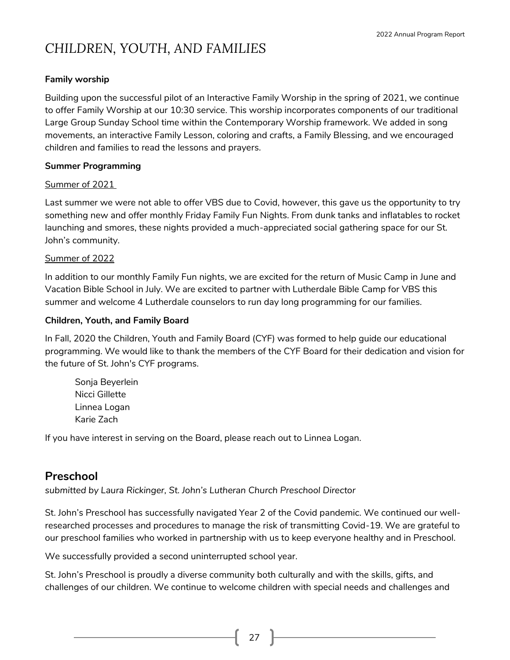#### **Family worship**

Building upon the successful pilot of an Interactive Family Worship in the spring of 2021, we continue to offer Family Worship at our 10:30 service. This worship incorporates components of our traditional Large Group Sunday School time within the Contemporary Worship framework. We added in song movements, an interactive Family Lesson, coloring and crafts, a Family Blessing, and we encouraged children and families to read the lessons and prayers.

#### **Summer Programming**

#### Summer of 2021

Last summer we were not able to offer VBS due to Covid, however, this gave us the opportunity to try something new and offer monthly Friday Family Fun Nights. From dunk tanks and inflatables to rocket launching and smores, these nights provided a much-appreciated social gathering space for our St. John's community.

#### Summer of 2022

In addition to our monthly Family Fun nights, we are excited for the return of Music Camp in June and Vacation Bible School in July. We are excited to partner with Lutherdale Bible Camp for VBS this summer and welcome 4 Lutherdale counselors to run day long programming for our families.

#### **Children, Youth, and Family Board**

In Fall, 2020 the Children, Youth and Family Board (CYF) was formed to help guide our educational programming. We would like to thank the members of the CYF Board for their dedication and vision for the future of St. John's CYF programs.

Sonja Beyerlein Nicci Gillette Linnea Logan Karie Zach

If you have interest in serving on the Board, please reach out to Linnea Logan.

### **Preschool**

*submitted by Laura Rickinger, St. John's Lutheran Church Preschool Director*

St. John's Preschool has successfully navigated Year 2 of the Covid pandemic. We continued our wellresearched processes and procedures to manage the risk of transmitting Covid-19. We are grateful to our preschool families who worked in partnership with us to keep everyone healthy and in Preschool.

We successfully provided a second uninterrupted school year.

St. John's Preschool is proudly a diverse community both culturally and with the skills, gifts, and challenges of our children. We continue to welcome children with special needs and challenges and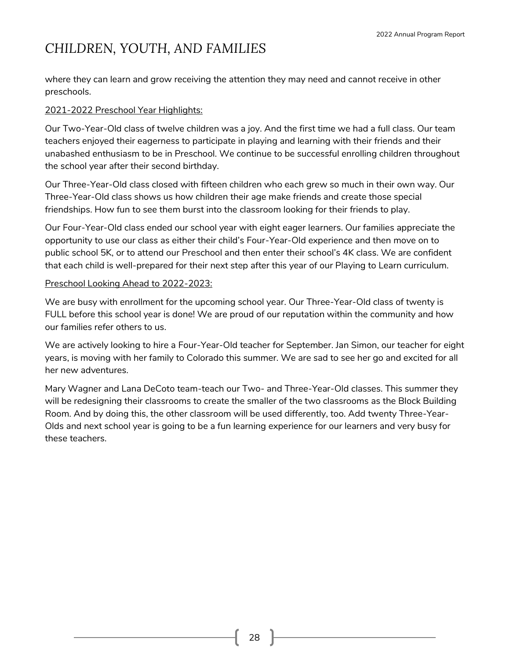where they can learn and grow receiving the attention they may need and cannot receive in other preschools.

#### 2021-2022 Preschool Year Highlights:

Our Two-Year-Old class of twelve children was a joy. And the first time we had a full class. Our team teachers enjoyed their eagerness to participate in playing and learning with their friends and their unabashed enthusiasm to be in Preschool. We continue to be successful enrolling children throughout the school year after their second birthday.

Our Three-Year-Old class closed with fifteen children who each grew so much in their own way. Our Three-Year-Old class shows us how children their age make friends and create those special friendships. How fun to see them burst into the classroom looking for their friends to play.

Our Four-Year-Old class ended our school year with eight eager learners. Our families appreciate the opportunity to use our class as either their child's Four-Year-Old experience and then move on to public school 5K, or to attend our Preschool and then enter their school's 4K class. We are confident that each child is well-prepared for their next step after this year of our Playing to Learn curriculum.

#### Preschool Looking Ahead to 2022-2023:

We are busy with enrollment for the upcoming school year. Our Three-Year-Old class of twenty is FULL before this school year is done! We are proud of our reputation within the community and how our families refer others to us.

We are actively looking to hire a Four-Year-Old teacher for September. Jan Simon, our teacher for eight years, is moving with her family to Colorado this summer. We are sad to see her go and excited for all her new adventures.

Mary Wagner and Lana DeCoto team-teach our Two- and Three-Year-Old classes. This summer they will be redesigning their classrooms to create the smaller of the two classrooms as the Block Building Room. And by doing this, the other classroom will be used differently, too. Add twenty Three-Year-Olds and next school year is going to be a fun learning experience for our learners and very busy for these teachers.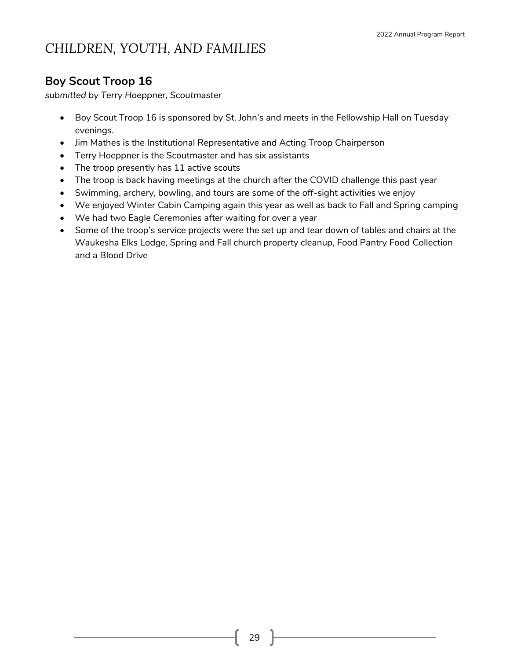### **Boy Scout Troop 16**

*submitted by Terry Hoeppner, Scoutmaster*

- Boy Scout Troop 16 is sponsored by St. John's and meets in the Fellowship Hall on Tuesday evenings.
- Jim Mathes is the Institutional Representative and Acting Troop Chairperson
- Terry Hoeppner is the Scoutmaster and has six assistants
- The troop presently has 11 active scouts
- The troop is back having meetings at the church after the COVID challenge this past year
- Swimming, archery, bowling, and tours are some of the off-sight activities we enjoy
- We enjoyed Winter Cabin Camping again this year as well as back to Fall and Spring camping
- We had two Eagle Ceremonies after waiting for over a year
- Some of the troop's service projects were the set up and tear down of tables and chairs at the Waukesha Elks Lodge, Spring and Fall church property cleanup, Food Pantry Food Collection and a Blood Drive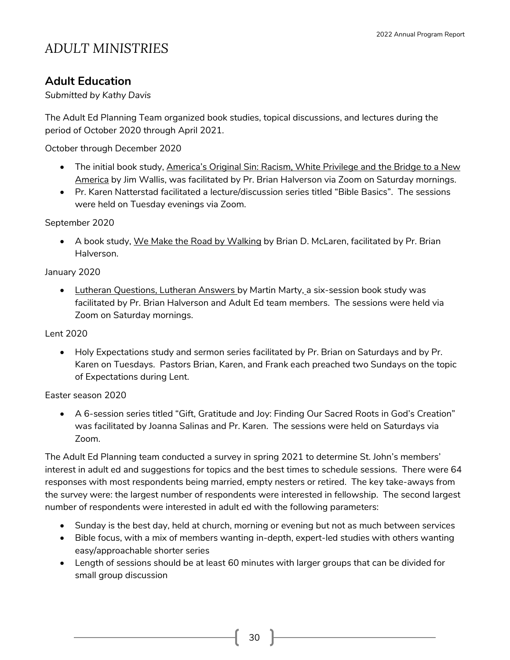## *ADULT MINISTRIES*

### **Adult Education**

*Submitted by Kathy Davis*

The Adult Ed Planning Team organized book studies, topical discussions, and lectures during the period of October 2020 through April 2021.

October through December 2020

- The initial book study, America's Original Sin: Racism, White Privilege and the Bridge to a New America by Jim Wallis, was facilitated by Pr. Brian Halverson via Zoom on Saturday mornings.
- Pr. Karen Natterstad facilitated a lecture/discussion series titled "Bible Basics". The sessions were held on Tuesday evenings via Zoom.

September 2020

• A book study, We Make the Road by Walking by Brian D. McLaren, facilitated by Pr. Brian Halverson.

#### January 2020

• Lutheran Questions, Lutheran Answers by Martin Marty, a six-session book study was facilitated by Pr. Brian Halverson and Adult Ed team members. The sessions were held via Zoom on Saturday mornings.

#### Lent 2020

• Holy Expectations study and sermon series facilitated by Pr. Brian on Saturdays and by Pr. Karen on Tuesdays. Pastors Brian, Karen, and Frank each preached two Sundays on the topic of Expectations during Lent.

#### Easter season 2020

• A 6-session series titled "Gift, Gratitude and Joy: Finding Our Sacred Roots in God's Creation" was facilitated by Joanna Salinas and Pr. Karen. The sessions were held on Saturdays via Zoom.

The Adult Ed Planning team conducted a survey in spring 2021 to determine St. John's members' interest in adult ed and suggestions for topics and the best times to schedule sessions. There were 64 responses with most respondents being married, empty nesters or retired. The key take-aways from the survey were: the largest number of respondents were interested in fellowship. The second largest number of respondents were interested in adult ed with the following parameters:

- Sunday is the best day, held at church, morning or evening but not as much between services
- Bible focus, with a mix of members wanting in-depth, expert-led studies with others wanting easy/approachable shorter series
- Length of sessions should be at least 60 minutes with larger groups that can be divided for small group discussion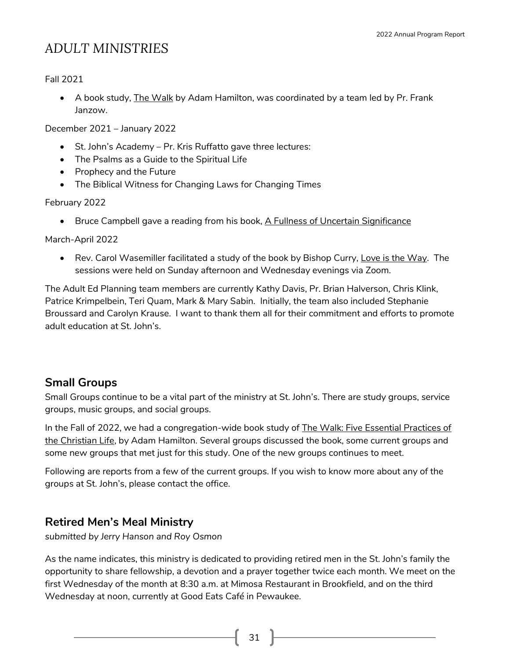## *ADULT MINISTRIES*

#### Fall 2021

• A book study, The Walk by Adam Hamilton, was coordinated by a team led by Pr. Frank Janzow.

December 2021 – January 2022

- St. John's Academy Pr. Kris Ruffatto gave three lectures:
- The Psalms as a Guide to the Spiritual Life
- Prophecy and the Future
- The Biblical Witness for Changing Laws for Changing Times

#### February 2022

• Bruce Campbell gave a reading from his book, A Fullness of Uncertain Significance

March-April 2022

• Rev. Carol Wasemiller facilitated a study of the book by Bishop Curry, Love is the Way. The sessions were held on Sunday afternoon and Wednesday evenings via Zoom.

The Adult Ed Planning team members are currently Kathy Davis, Pr. Brian Halverson, Chris Klink, Patrice Krimpelbein, Teri Quam, Mark & Mary Sabin. Initially, the team also included Stephanie Broussard and Carolyn Krause. I want to thank them all for their commitment and efforts to promote adult education at St. John's.

### **Small Groups**

Small Groups continue to be a vital part of the ministry at St. John's. There are study groups, service groups, music groups, and social groups.

In the Fall of 2022, we had a congregation-wide book study of **The Walk: Five Essential Practices of** the Christian Life, by Adam Hamilton. Several groups discussed the book, some current groups and some new groups that met just for this study. One of the new groups continues to meet.

Following are reports from a few of the current groups. If you wish to know more about any of the groups at St. John's, please contact the office.

### **Retired Men's Meal Ministry**

*submitted by Jerry Hanson and Roy Osmon*

As the name indicates, this ministry is dedicated to providing retired men in the St. John's family the opportunity to share fellowship, a devotion and a prayer together twice each month. We meet on the first Wednesday of the month at 8:30 a.m. at Mimosa Restaurant in Brookfield, and on the third Wednesday at noon, currently at Good Eats Café in Pewaukee.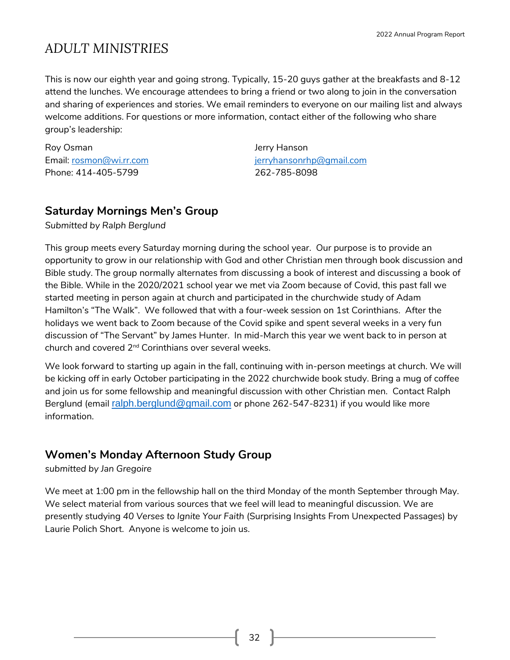## *ADULT MINISTRIES*

This is now our eighth year and going strong. Typically, 15-20 guys gather at the breakfasts and 8-12 attend the lunches. We encourage attendees to bring a friend or two along to join in the conversation and sharing of experiences and stories. We email reminders to everyone on our mailing list and always welcome additions. For questions or more information, contact either of the following who share group's leadership:

Roy Osman **Jerry Hanson** Phone: 414-405-5799 262-785-8098

Email: [rosmon@wi.rr.com](mailto:rosmon@wi.rr.com) [jerryhansonrhp@gmail.com](mailto:jerryhansonrhp@gmail.com)

### **Saturday Mornings Men's Group**

*Submitted by Ralph Berglund*

This group meets every Saturday morning during the school year. Our purpose is to provide an opportunity to grow in our relationship with God and other Christian men through book discussion and Bible study. The group normally alternates from discussing a book of interest and discussing a book of the Bible. While in the 2020/2021 school year we met via Zoom because of Covid, this past fall we started meeting in person again at church and participated in the churchwide study of Adam Hamilton's "The Walk". We followed that with a four-week session on 1st Corinthians. After the holidays we went back to Zoom because of the Covid spike and spent several weeks in a very fun discussion of "The Servant" by James Hunter. In mid-March this year we went back to in person at church and covered 2nd Corinthians over several weeks.

We look forward to starting up again in the fall, continuing with in-person meetings at church. We will be kicking off in early October participating in the 2022 churchwide book study. Bring a mug of coffee and join us for some fellowship and meaningful discussion with other Christian men. Contact Ralph Berglund (email [ralph.berglund@gmail.com](mailto:ralph.berglund@gmail.com) or phone 262-547-8231) if you would like more information.

### **Women's Monday Afternoon Study Group**

*submitted by Jan Gregoire*

We meet at 1:00 pm in the fellowship hall on the third Monday of the month September through May. We select material from various sources that we feel will lead to meaningful discussion. We are presently studying *40 Verses to Ignite Your Faith* (Surprising Insights From Unexpected Passages) by Laurie Polich Short. Anyone is welcome to join us.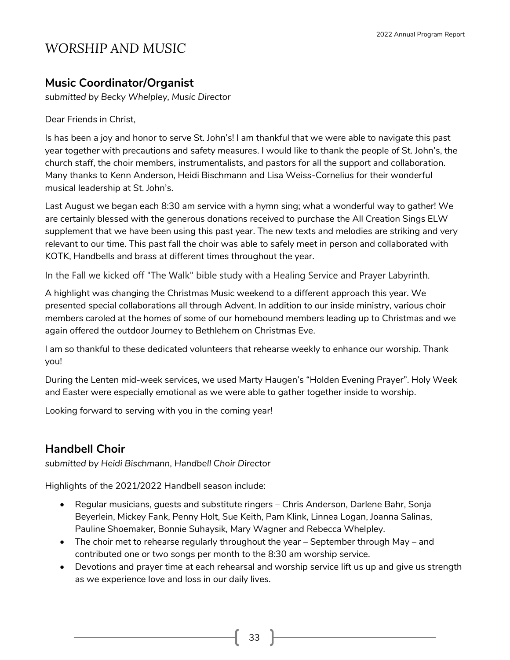### **Music Coordinator/Organist**

*submitted by Becky Whelpley, Music Director*

Dear Friends in Christ,

Is has been a joy and honor to serve St. John's! I am thankful that we were able to navigate this past year together with precautions and safety measures. I would like to thank the people of St. John's, the church staff, the choir members, instrumentalists, and pastors for all the support and collaboration. Many thanks to Kenn Anderson, Heidi Bischmann and Lisa Weiss-Cornelius for their wonderful musical leadership at St. John's.

Last August we began each 8:30 am service with a hymn sing; what a wonderful way to gather! We are certainly blessed with the generous donations received to purchase the All Creation Sings ELW supplement that we have been using this past year. The new texts and melodies are striking and very relevant to our time. This past fall the choir was able to safely meet in person and collaborated with KOTK, Handbells and brass at different times throughout the year.

In the Fall we kicked off "The Walk" bible study with a Healing Service and Prayer Labyrinth.

A highlight was changing the Christmas Music weekend to a different approach this year. We presented special collaborations all through Advent. In addition to our inside ministry, various choir members caroled at the homes of some of our homebound members leading up to Christmas and we again offered the outdoor Journey to Bethlehem on Christmas Eve.

I am so thankful to these dedicated volunteers that rehearse weekly to enhance our worship. Thank you!

During the Lenten mid-week services, we used Marty Haugen's "Holden Evening Prayer". Holy Week and Easter were especially emotional as we were able to gather together inside to worship.

Looking forward to serving with you in the coming year!

### **Handbell Choir**

*submitted by Heidi Bischmann, Handbell Choir Director*

Highlights of the 2021/2022 Handbell season include:

- Regular musicians, guests and substitute ringers Chris Anderson, Darlene Bahr, Sonja Beyerlein, Mickey Fank, Penny Holt, Sue Keith, Pam Klink, Linnea Logan, Joanna Salinas, Pauline Shoemaker, Bonnie Suhaysik, Mary Wagner and Rebecca Whelpley.
- The choir met to rehearse regularly throughout the year September through May and contributed one or two songs per month to the 8:30 am worship service.
- Devotions and prayer time at each rehearsal and worship service lift us up and give us strength as we experience love and loss in our daily lives.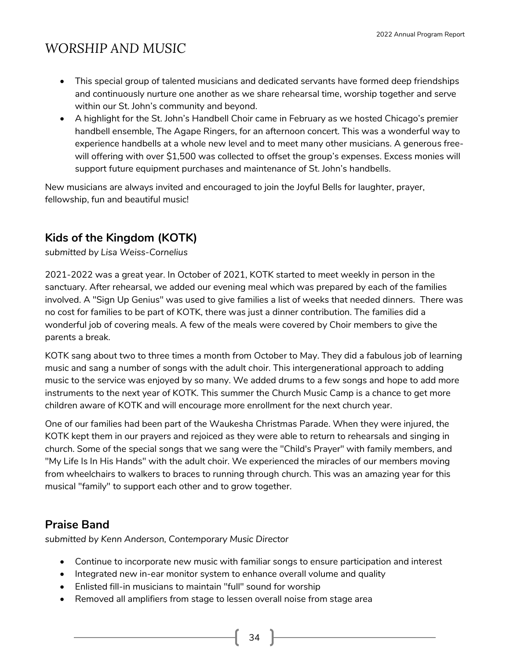- This special group of talented musicians and dedicated servants have formed deep friendships and continuously nurture one another as we share rehearsal time, worship together and serve within our St. John's community and beyond.
- A highlight for the St. John's Handbell Choir came in February as we hosted Chicago's premier handbell ensemble, The Agape Ringers, for an afternoon concert. This was a wonderful way to experience handbells at a whole new level and to meet many other musicians. A generous freewill offering with over \$1,500 was collected to offset the group's expenses. Excess monies will support future equipment purchases and maintenance of St. John's handbells.

New musicians are always invited and encouraged to join the Joyful Bells for laughter, prayer, fellowship, fun and beautiful music!

## **Kids of the Kingdom (KOTK)**

*submitted by Lisa Weiss-Cornelius*

2021-2022 was a great year. In October of 2021, KOTK started to meet weekly in person in the sanctuary. After rehearsal, we added our evening meal which was prepared by each of the families involved. A "Sign Up Genius" was used to give families a list of weeks that needed dinners. There was no cost for families to be part of KOTK, there was just a dinner contribution. The families did a wonderful job of covering meals. A few of the meals were covered by Choir members to give the parents a break.

KOTK sang about two to three times a month from October to May. They did a fabulous job of learning music and sang a number of songs with the adult choir. This intergenerational approach to adding music to the service was enjoyed by so many. We added drums to a few songs and hope to add more instruments to the next year of KOTK. This summer the Church Music Camp is a chance to get more children aware of KOTK and will encourage more enrollment for the next church year.

One of our families had been part of the Waukesha Christmas Parade. When they were injured, the KOTK kept them in our prayers and rejoiced as they were able to return to rehearsals and singing in church. Some of the special songs that we sang were the "Child's Prayer" with family members, and "My Life Is In His Hands" with the adult choir. We experienced the miracles of our members moving from wheelchairs to walkers to braces to running through church. This was an amazing year for this musical "family" to support each other and to grow together.

### **Praise Band**

*submitted by Kenn Anderson, Contemporary Music Director*

- Continue to incorporate new music with familiar songs to ensure participation and interest
- Integrated new in-ear monitor system to enhance overall volume and quality
- Enlisted fill-in musicians to maintain "full" sound for worship
- Removed all amplifiers from stage to lessen overall noise from stage area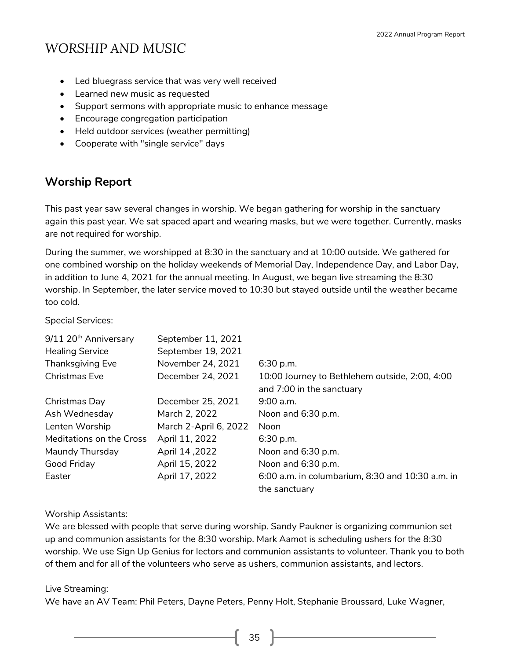- Led bluegrass service that was very well received
- Learned new music as requested
- Support sermons with appropriate music to enhance message
- Encourage congregation participation
- Held outdoor services (weather permitting)
- Cooperate with "single service" days

### **Worship Report**

This past year saw several changes in worship. We began gathering for worship in the sanctuary again this past year. We sat spaced apart and wearing masks, but we were together. Currently, masks are not required for worship.

During the summer, we worshipped at 8:30 in the sanctuary and at 10:00 outside. We gathered for one combined worship on the holiday weekends of Memorial Day, Independence Day, and Labor Day, in addition to June 4, 2021 for the annual meeting. In August, we began live streaming the 8:30 worship. In September, the later service moved to 10:30 but stayed outside until the weather became too cold.

Special Services:

| 9/11 20 <sup>th</sup> Anniversary | September 11, 2021    |                                                  |
|-----------------------------------|-----------------------|--------------------------------------------------|
| <b>Healing Service</b>            | September 19, 2021    |                                                  |
| <b>Thanksgiving Eve</b>           | November 24, 2021     | 6:30 p.m.                                        |
| <b>Christmas Eve</b>              | December 24, 2021     | 10:00 Journey to Bethlehem outside, 2:00, 4:00   |
|                                   |                       | and 7:00 in the sanctuary                        |
| Christmas Day                     | December 25, 2021     | $9:00$ a.m.                                      |
| Ash Wednesday                     | March 2, 2022         | Noon and 6:30 p.m.                               |
| Lenten Worship                    | March 2-April 6, 2022 | Noon                                             |
| Meditations on the Cross          | April 11, 2022        | 6:30 p.m.                                        |
| Maundy Thursday                   | April 14, 2022        | Noon and 6:30 p.m.                               |
| Good Friday                       | April 15, 2022        | Noon and 6:30 p.m.                               |
| Easter                            | April 17, 2022        | 6:00 a.m. in columbarium, 8:30 and 10:30 a.m. in |
|                                   |                       | the sanctuary                                    |

#### Worship Assistants:

We are blessed with people that serve during worship. Sandy Paukner is organizing communion set up and communion assistants for the 8:30 worship. Mark Aamot is scheduling ushers for the 8:30 worship. We use Sign Up Genius for lectors and communion assistants to volunteer. Thank you to both of them and for all of the volunteers who serve as ushers, communion assistants, and lectors.

#### Live Streaming:

We have an AV Team: Phil Peters, Dayne Peters, Penny Holt, Stephanie Broussard, Luke Wagner,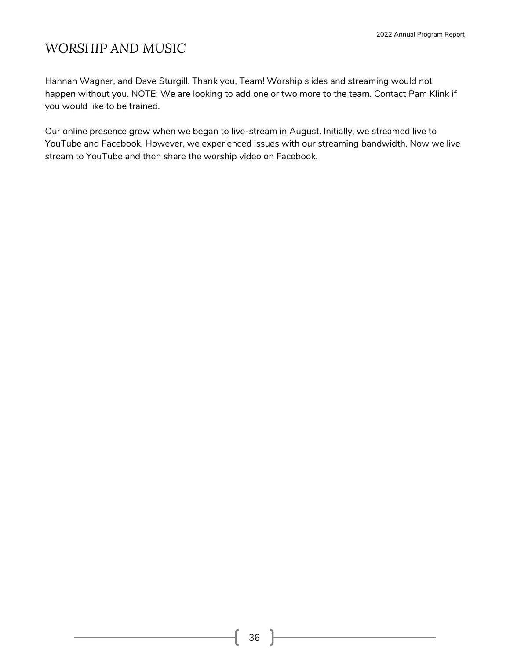Hannah Wagner, and Dave Sturgill. Thank you, Team! Worship slides and streaming would not happen without you. NOTE: We are looking to add one or two more to the team. Contact Pam Klink if you would like to be trained.

Our online presence grew when we began to live-stream in August. Initially, we streamed live to YouTube and Facebook. However, we experienced issues with our streaming bandwidth. Now we live stream to YouTube and then share the worship video on Facebook.